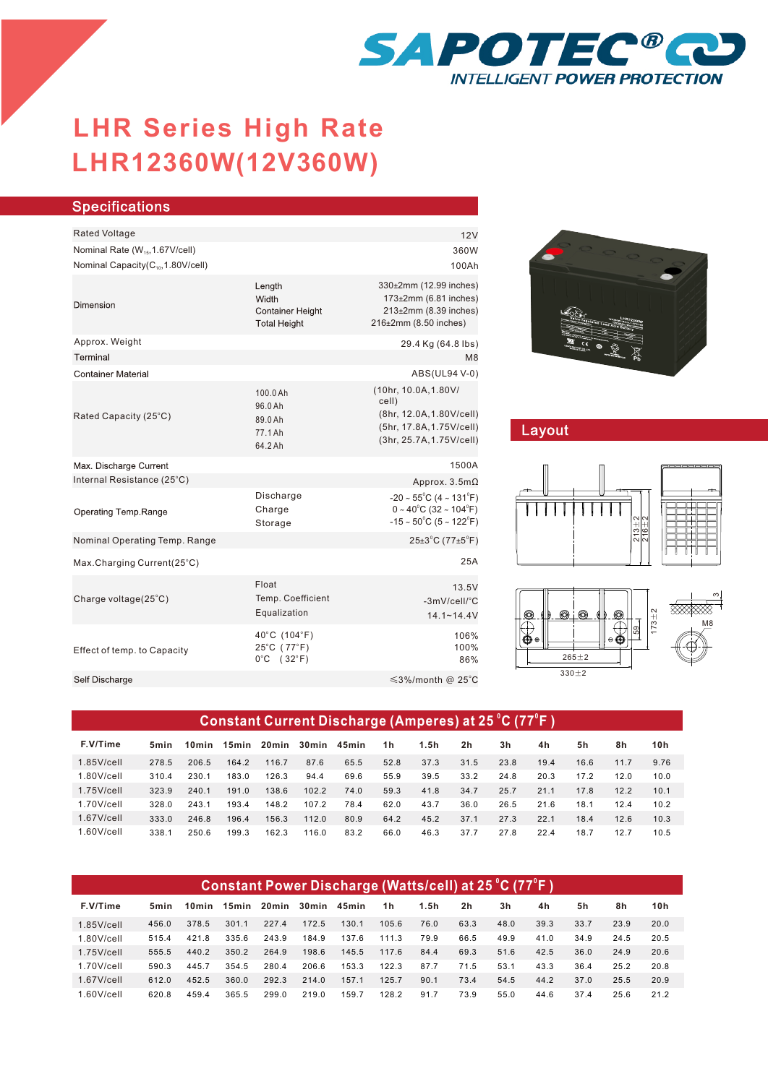

## **LHR12360W(12V360W) LHR Series High Rate**

| <b>Specifications</b>                                                                        |                                                                   |                                                                                                                                                   |  |  |  |  |
|----------------------------------------------------------------------------------------------|-------------------------------------------------------------------|---------------------------------------------------------------------------------------------------------------------------------------------------|--|--|--|--|
|                                                                                              |                                                                   |                                                                                                                                                   |  |  |  |  |
| <b>Rated Voltage</b>                                                                         |                                                                   | 12V                                                                                                                                               |  |  |  |  |
| Nominal Rate (W <sub>15</sub> , 1.67V/cell)<br>Nominal Capacity(C <sub>10</sub> ,1.80V/cell) |                                                                   | 360W                                                                                                                                              |  |  |  |  |
|                                                                                              |                                                                   | 100Ah                                                                                                                                             |  |  |  |  |
| Dimension                                                                                    | Length<br>Width<br><b>Container Height</b><br><b>Total Height</b> | 330±2mm (12.99 inches)<br>173±2mm (6.81 inches)<br>213±2mm (8.39 inches)<br>216±2mm (8.50 inches)                                                 |  |  |  |  |
| Approx. Weight                                                                               |                                                                   | 29.4 Kg (64.8 lbs)                                                                                                                                |  |  |  |  |
| Terminal                                                                                     |                                                                   | M8                                                                                                                                                |  |  |  |  |
| <b>Container Material</b>                                                                    |                                                                   | ABS(UL94 V-0)                                                                                                                                     |  |  |  |  |
| Rated Capacity (25°C)                                                                        | 100.0 Ah<br>96.0 Ah<br>89.0 Ah<br>77.1 Ah<br>64.2 Ah              | (10hr, 10.0A, 1.80V/<br>cell)<br>(8hr, 12.0A, 1.80V/cell)<br>(5hr, 17.8A, 1.75V/cell)<br>(3hr, 25.7A, 1.75V/cell)                                 |  |  |  |  |
| Max. Discharge Current                                                                       |                                                                   | 1500A                                                                                                                                             |  |  |  |  |
| Internal Resistance (25°C)                                                                   |                                                                   | Approx. $3.5m\Omega$                                                                                                                              |  |  |  |  |
| Operating Temp.Range                                                                         | Discharge<br>Charge<br>Storage                                    | $-20 \sim 55^{\circ}$ C (4 ~ 131 $^{\circ}$ F)<br>$0 \sim 40^{\circ}$ C (32 ~ 104 $^{\circ}$ F)<br>$-15 \sim 50^{\circ}$ C (5 ~ 122 $^{\circ}$ F) |  |  |  |  |
| Nominal Operating Temp. Range                                                                |                                                                   | $25\pm3$ °C (77 $\pm5$ °F)                                                                                                                        |  |  |  |  |
| Max.Charging Current(25°C)                                                                   |                                                                   | 25A                                                                                                                                               |  |  |  |  |
| Charge voltage(25°C)                                                                         | Float<br>Temp. Coefficient<br>Equalization                        | 13.5V<br>-3mV/cell/°C<br>$14.1 - 14.4V$                                                                                                           |  |  |  |  |
| Effect of temp. to Capacity                                                                  | 40°C (104°F)<br>25°C (77°F)<br>$0^{\circ}$ C<br>$(32^{\circ}F)$   | 106%<br>100%<br>86%                                                                                                                               |  |  |  |  |
| Self Discharge                                                                               |                                                                   | ≤3%/month @ 25°C                                                                                                                                  |  |  |  |  |
|                                                                                              |                                                                   |                                                                                                                                                   |  |  |  |  |



## Layout





# M8 ო

| Constant Current Discharge (Amperes) at 25 °C (77°F) |       |                   |       |        |       |       |      |      |                |      |      |      |      |      |
|------------------------------------------------------|-------|-------------------|-------|--------|-------|-------|------|------|----------------|------|------|------|------|------|
| F.V/Time                                             | 5min  | 10 <sub>min</sub> | 15min | 20 min | 30min | 45min | 1h   | 1.5h | 2 <sub>h</sub> | 3h   | 4h   | 5h   | 8h   | 10h  |
| $1.85$ V/cell                                        | 278.5 | 206.5             | 164.2 | 116.7  | 87.6  | 65.5  | 52.8 | 37.3 | 31.5           | 23.8 | 19.4 | 16.6 | 11.7 | 9.76 |
| $1.80$ V/cell                                        | 310.4 | 230.1             | 183.0 | 126.3  | 94.4  | 69.6  | 55.9 | 39.5 | 33.2           | 24.8 | 20.3 | 17.2 | 12.0 | 10.0 |
| $1.75$ V/cell                                        | 323.9 | 240.1             | 191.0 | 138.6  | 102.2 | 74.0  | 59.3 | 41.8 | 34.7           | 25.7 | 21.1 | 17.8 | 12.2 | 10.1 |
| $1.70$ V/cell                                        | 328.0 | 2431              | 193.4 | 148.2  | 107.2 | 78.4  | 62.0 | 43.7 | 36.0           | 26.5 | 21.6 | 18.1 | 12.4 | 10.2 |
| $1.67$ V/cell                                        | 333.0 | 246.8             | 196.4 | 156.3  | 112.0 | 80.9  | 64.2 | 45.2 | 37.1           | 27.3 | 22.1 | 18.4 | 12.6 | 10.3 |
| $1.60$ V/cell                                        | 338.1 | 250.6             | 199.3 | 162.3  | 116.0 | 83.2  | 66.0 | 46.3 | 37.7           | 27.8 | 22.4 | 18.7 | 12.7 | 10.5 |

| Constant Power Discharge (Watts/cell) at 25 °C (77°F ) |       |       |       |       |       |       |       |      |                |      |      |      |      |      |
|--------------------------------------------------------|-------|-------|-------|-------|-------|-------|-------|------|----------------|------|------|------|------|------|
| F.V/Time                                               | 5min  | 10min | 15min | 20min | 30min | 45min | 1h    | 1.5h | 2 <sub>h</sub> | 3h   | 4h   | 5h   | 8h   | 10h  |
| $1.85$ V/cell                                          | 456.0 | 378.5 | 301.1 | 227.4 | 172.5 | 130.1 | 105.6 | 76.0 | 63.3           | 48.0 | 39.3 | 33.7 | 23.9 | 20.0 |
| $1.80$ V/cell                                          | 515.4 | 421.8 | 335.6 | 243.9 | 184.9 | 137.6 | 111.3 | 79.9 | 66.5           | 49.9 | 41.0 | 34.9 | 24.5 | 20.5 |
| $1.75$ V/cell                                          | 555.5 | 440.2 | 350.2 | 264.9 | 198.6 | 145.5 | 117.6 | 84.4 | 69.3           | 51.6 | 42.5 | 36.0 | 24.9 | 20.6 |
| $1.70$ V/cell                                          | 590.3 | 445.7 | 354.5 | 280.4 | 206.6 | 153.3 | 122.3 | 87.7 | 71.5           | 53.1 | 43.3 | 36.4 | 25.2 | 20.8 |
| $1.67$ V/cell                                          | 612.0 | 452.5 | 360.0 | 292.3 | 214.0 | 157.1 | 125.7 | 90.1 | 73.4           | 54.5 | 44.2 | 37.0 | 25.5 | 20.9 |
| $1.60$ V/cell                                          | 620.8 | 459.4 | 365.5 | 299.0 | 219.0 | 159.7 | 128.2 | 91.7 | 73.9           | 55.0 | 44.6 | 37.4 | 25.6 | 21.2 |